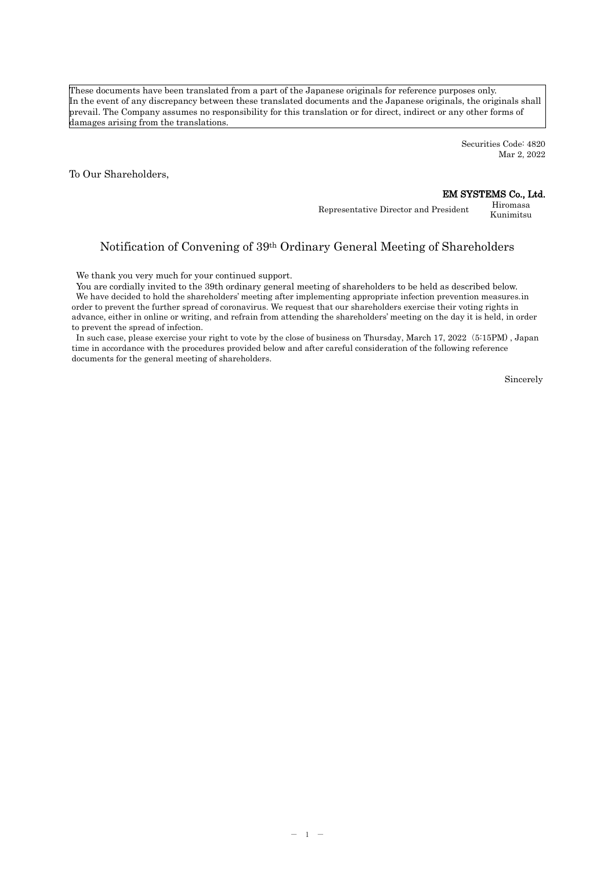These documents have been translated from a part of the Japanese originals for reference purposes only. In the event of any discrepancy between these translated documents and the Japanese originals, the originals shall prevail. The Company assumes no responsibility for this translation or for direct, indirect or any other forms of damages arising from the translations.

> Securities Code: 4820 Mar 2, 2022

To Our Shareholders,

### EM SYSTEMS Co., Ltd.

Representative Director and President Hiromasa Kunimitsu

# Notification of Convening of 39th Ordinary General Meeting of Shareholders

We thank you very much for your continued support.

You are cordially invited to the 39th ordinary general meeting of shareholders to be held as described below. We have decided to hold the shareholders' meeting after implementing appropriate infection prevention measures.in order to prevent the further spread of coronavirus. We request that our shareholders exercise their voting rights in advance, either in online or writing, and refrain from attending the shareholders' meeting on the day it is held, in order to prevent the spread of infection.

In such case, please exercise your right to vote by the close of business on Thursday, March 17, 2022(5:15PM) , Japan time in accordance with the procedures provided below and after careful consideration of the following reference documents for the general meeting of shareholders.

Sincerely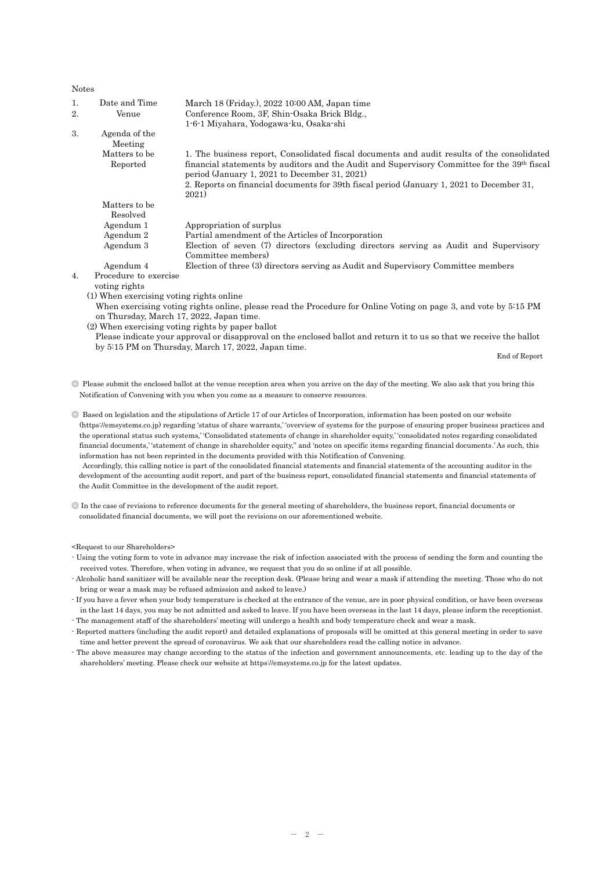| <b>Notes</b>     |                                          |                                                                                                                                               |
|------------------|------------------------------------------|-----------------------------------------------------------------------------------------------------------------------------------------------|
| 1.               | Date and Time                            | March 18 (Friday.), 2022 10:00 AM, Japan time                                                                                                 |
| 2.               | Venue                                    | Conference Room, 3F, Shin-Osaka Brick Bldg.,                                                                                                  |
|                  |                                          | 1-6-1 Miyahara, Yodogawa-ku, Osaka-shi                                                                                                        |
| 3.               | Agenda of the                            |                                                                                                                                               |
|                  | Meeting                                  |                                                                                                                                               |
|                  | Matters to be                            | 1. The business report, Consolidated fiscal documents and audit results of the consolidated                                                   |
|                  | Reported                                 | financial statements by auditors and the Audit and Supervisory Committee for the 39th fiscal<br>period (January 1, 2021 to December 31, 2021) |
|                  |                                          | 2. Reports on financial documents for 39th fiscal period (January 1, 2021 to December 31,                                                     |
|                  |                                          | 2021)                                                                                                                                         |
|                  | Matters to be                            |                                                                                                                                               |
|                  | Resolved                                 |                                                                                                                                               |
|                  | Agendum 1                                | Appropriation of surplus                                                                                                                      |
|                  | Agendum 2                                | Partial amendment of the Articles of Incorporation                                                                                            |
|                  | Agendum 3                                | Election of seven (7) directors (excluding directors serving as Audit and Supervisory<br>Committee members)                                   |
|                  | Agendum 4                                | Election of three (3) directors serving as Audit and Supervisory Committee members                                                            |
| $\overline{4}$ . | Procedure to exercise                    |                                                                                                                                               |
|                  | voting rights                            |                                                                                                                                               |
|                  | (1) When exercising voting rights online |                                                                                                                                               |
|                  |                                          | When exercising voting rights online, please read the Procedure for Online Voting on page 3, and vote by 5:15 PM                              |
|                  | on Thursday, March 17, 2022, Japan time. |                                                                                                                                               |
|                  |                                          | (2) When exercising voting rights by paper ballot                                                                                             |
|                  |                                          | Please indicate your approval or disapproval on the enclosed ballot and return it to us so that we receive the ballot                         |
|                  |                                          | by 5:15 PM on Thursday, March 17, 2022, Japan time.<br>End of Report                                                                          |
|                  |                                          |                                                                                                                                               |
|                  |                                          |                                                                                                                                               |
|                  |                                          | Q place when t the enclosed bellet at the venue reception area when you arrive on the day of the meeting. We also eak that you bring this     |

Please submit the enclosed ballot at the venue reception area when you arrive on the day of the meeting. We also ask that you bring this Notification of Convening with you when you come as a measure to conserve resources.

◎ Based on legislation and the stipulations of Article 17 of our Articles of Incorporation, information has been posted on our website (https://emsystems.co.jp) regarding 'status of share warrants,' 'overview of systems for the purpose of ensuring proper business practices and the operational status such systems,' 'Consolidated statements of change in shareholder equity,' 'consolidated notes regarding consolidated financial documents,' 'statement of change in shareholder equity," and 'notes on specific items regarding financial documents.' As such, this information has not been reprinted in the documents provided with this Notification of Convening.

 Accordingly, this calling notice is part of the consolidated financial statements and financial statements of the accounting auditor in the development of the accounting audit report, and part of the business report, consolidated financial statements and financial statements of the Audit Committee in the development of the audit report.

◎ In the case of revisions to reference documents for the general meeting of shareholders, the business report, financial documents or consolidated financial documents, we will post the revisions on our aforementioned website.

<Request to our Shareholders>

<sup>-</sup> Using the voting form to vote in advance may increase the risk of infection associated with the process of sending the form and counting the received votes. Therefore, when voting in advance, we request that you do so online if at all possible.

<sup>-</sup> Alcoholic hand sanitizer will be available near the reception desk. (Please bring and wear a mask if attending the meeting. Those who do not bring or wear a mask may be refused admission and asked to leave.)

<sup>-</sup> If you have a fever when your body temperature is checked at the entrance of the venue, are in poor physical condition, or have been overseas in the last 14 days, you may be not admitted and asked to leave. If you have been overseas in the last 14 days, please inform the receptionist. - The management staff of the shareholders' meeting will undergo a health and body temperature check and wear a mask.

<sup>-</sup> Reported matters (including the audit report) and detailed explanations of proposals will be omitted at this general meeting in order to save time and better prevent the spread of coronavirus. We ask that our shareholders read the calling notice in advance.

The above measures may change according to the status of the infection and government announcements, etc. leading up to the day of the shareholders' meeting. Please check our website at https://emsystems.co.jp for the latest updates.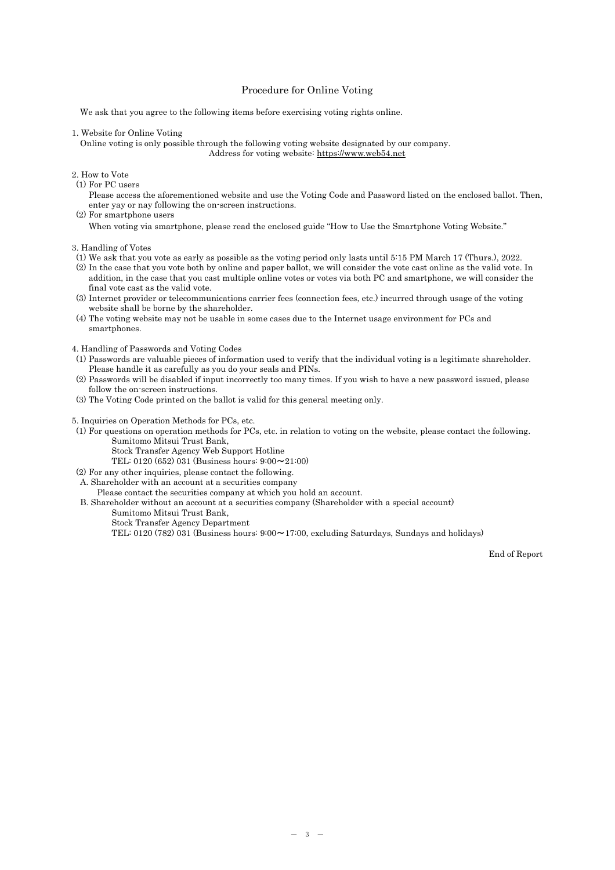### Procedure for Online Voting

We ask that you agree to the following items before exercising voting rights online.

#### 1. Website for Online Voting

Online voting is only possible through the following voting website designated by our company. Address for voting website: [https://www.web54.net](https://www.web54.net/)

#### 2. How to Vote

(1) For PC users

Please access the aforementioned website and use the Voting Code and Password listed on the enclosed ballot. Then, enter yay or nay following the on-screen instructions. (2) For smartphone users

When voting via smartphone, please read the enclosed guide "How to Use the Smartphone Voting Website."

3. Handling of Votes

- (1) We ask that you vote as early as possible as the voting period only lasts until 5:15 PM March 17 (Thurs.), 2022.
- (2) In the case that you vote both by online and paper ballot, we will consider the vote cast online as the valid vote. In addition, in the case that you cast multiple online votes or votes via both PC and smartphone, we will consider the final vote cast as the valid vote.
- (3) Internet provider or telecommunications carrier fees (connection fees, etc.) incurred through usage of the voting website shall be borne by the shareholder.
- (4) The voting website may not be usable in some cases due to the Internet usage environment for PCs and smartphones.
- 4. Handling of Passwords and Voting Codes
- (1) Passwords are valuable pieces of information used to verify that the individual voting is a legitimate shareholder. Please handle it as carefully as you do your seals and PINs.
- (2) Passwords will be disabled if input incorrectly too many times. If you wish to have a new password issued, please follow the on-screen instructions.
- (3) The Voting Code printed on the ballot is valid for this general meeting only.

5. Inquiries on Operation Methods for PCs, etc.

- (1) For questions on operation methods for PCs, etc. in relation to voting on the website, please contact the following. Sumitomo Mitsui Trust Bank,
	- Stock Transfer Agency Web Support Hotline

TEL: 0120 (652) 031 (Business hours: 9:00~21:00)

- (2) For any other inquiries, please contact the following.
- A. Shareholder with an account at a securities company
- Please contact the securities company at which you hold an account.

B. Shareholder without an account at a securities company (Shareholder with a special account)

- Sumitomo Mitsui Trust Bank,
	- Stock Transfer Agency Department

TEL: 0120 (782) 031 (Business hours:  $9:00 \sim 17:00$ , excluding Saturdays, Sundays and holidays)

End of Report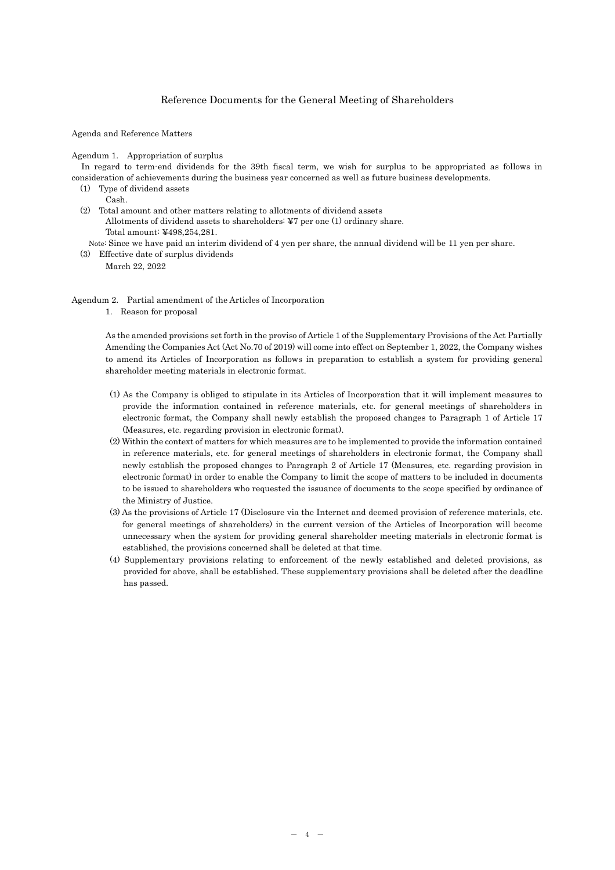### Reference Documents for the General Meeting of Shareholders

Agenda and Reference Matters

Agendum 1. Appropriation of surplus

In regard to term-end dividends for the 39th fiscal term, we wish for surplus to be appropriated as follows in consideration of achievements during the business year concerned as well as future business developments.

(1) Type of dividend assets

Cash.

(2) Total amount and other matters relating to allotments of dividend assets Allotments of dividend assets to shareholders: ¥7 per one (1) ordinary share. Total amount: ¥498,254,281.

Note: Since we have paid an interim dividend of 4 yen per share, the annual dividend will be 11 yen per share.

(3) Effective date of surplus dividends

March 22, 2022

Agendum 2. Partial amendment of the Articles of Incorporation

1. Reason for proposal

As the amended provisions set forth in the proviso of Article 1 of the Supplementary Provisions of the Act Partially Amending the Companies Act (Act No.70 of 2019) will come into effect on September 1, 2022, the Company wishes to amend its Articles of Incorporation as follows in preparation to establish a system for providing general shareholder meeting materials in electronic format.

- (1) As the Company is obliged to stipulate in its Articles of Incorporation that it will implement measures to provide the information contained in reference materials, etc. for general meetings of shareholders in electronic format, the Company shall newly establish the proposed changes to Paragraph 1 of Article 17 (Measures, etc. regarding provision in electronic format).
- (2) Within the context of matters for which measures are to be implemented to provide the information contained in reference materials, etc. for general meetings of shareholders in electronic format, the Company shall newly establish the proposed changes to Paragraph 2 of Article 17 (Measures, etc. regarding provision in electronic format) in order to enable the Company to limit the scope of matters to be included in documents to be issued to shareholders who requested the issuance of documents to the scope specified by ordinance of the Ministry of Justice.
- (3) As the provisions of Article 17 (Disclosure via the Internet and deemed provision of reference materials, etc. for general meetings of shareholders) in the current version of the Articles of Incorporation will become unnecessary when the system for providing general shareholder meeting materials in electronic format is established, the provisions concerned shall be deleted at that time.
- (4) Supplementary provisions relating to enforcement of the newly established and deleted provisions, as provided for above, shall be established. These supplementary provisions shall be deleted after the deadline has passed.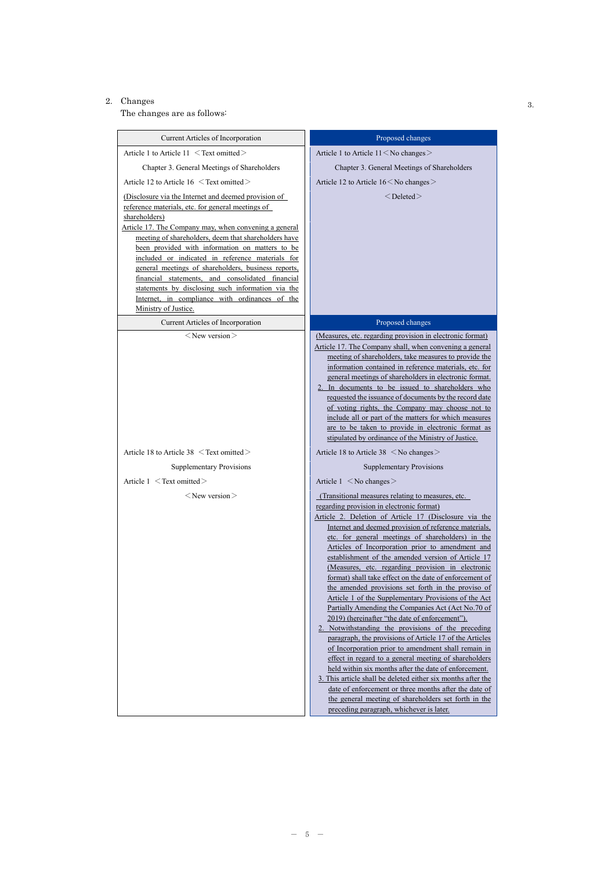## 2. Changes  $3.$

The changes are as follows:

| Current Articles of Incorporation                                                                                                                                                                                                                                                                                                                                                                                                                                                                                                                                                            | Proposed changes                                                                                                                                                                                                                                                                                                                                                                                                                                                                                                                                                                                                                                                                                                                                                                                                                                                                                                                                                                                                                                                                                                                                                                                 |  |  |  |  |  |
|----------------------------------------------------------------------------------------------------------------------------------------------------------------------------------------------------------------------------------------------------------------------------------------------------------------------------------------------------------------------------------------------------------------------------------------------------------------------------------------------------------------------------------------------------------------------------------------------|--------------------------------------------------------------------------------------------------------------------------------------------------------------------------------------------------------------------------------------------------------------------------------------------------------------------------------------------------------------------------------------------------------------------------------------------------------------------------------------------------------------------------------------------------------------------------------------------------------------------------------------------------------------------------------------------------------------------------------------------------------------------------------------------------------------------------------------------------------------------------------------------------------------------------------------------------------------------------------------------------------------------------------------------------------------------------------------------------------------------------------------------------------------------------------------------------|--|--|--|--|--|
| Article 1 to Article 11 < Text omitted>                                                                                                                                                                                                                                                                                                                                                                                                                                                                                                                                                      | Article 1 to Article 11 < No changes >                                                                                                                                                                                                                                                                                                                                                                                                                                                                                                                                                                                                                                                                                                                                                                                                                                                                                                                                                                                                                                                                                                                                                           |  |  |  |  |  |
| Chapter 3. General Meetings of Shareholders                                                                                                                                                                                                                                                                                                                                                                                                                                                                                                                                                  | Chapter 3. General Meetings of Shareholders                                                                                                                                                                                                                                                                                                                                                                                                                                                                                                                                                                                                                                                                                                                                                                                                                                                                                                                                                                                                                                                                                                                                                      |  |  |  |  |  |
| Article 12 to Article 16 $\leq$ Text omitted $\geq$                                                                                                                                                                                                                                                                                                                                                                                                                                                                                                                                          | Article 12 to Article 16 < No changes >                                                                                                                                                                                                                                                                                                                                                                                                                                                                                                                                                                                                                                                                                                                                                                                                                                                                                                                                                                                                                                                                                                                                                          |  |  |  |  |  |
| (Disclosure via the Internet and deemed provision of<br>reference materials, etc. for general meetings of<br>shareholders)<br>Article 17. The Company may, when convening a general<br>meeting of shareholders, deem that shareholders have<br>been provided with information on matters to be<br>included or indicated in reference materials for<br>general meetings of shareholders, business reports,<br>financial statements, and consolidated financial<br>statements by disclosing such information via the<br>Internet, in compliance with ordinances of the<br>Ministry of Justice. | $<$ Deleted $>$                                                                                                                                                                                                                                                                                                                                                                                                                                                                                                                                                                                                                                                                                                                                                                                                                                                                                                                                                                                                                                                                                                                                                                                  |  |  |  |  |  |
| Current Articles of Incorporation<br>$<$ New version $>$                                                                                                                                                                                                                                                                                                                                                                                                                                                                                                                                     | Proposed changes                                                                                                                                                                                                                                                                                                                                                                                                                                                                                                                                                                                                                                                                                                                                                                                                                                                                                                                                                                                                                                                                                                                                                                                 |  |  |  |  |  |
|                                                                                                                                                                                                                                                                                                                                                                                                                                                                                                                                                                                              | (Measures, etc. regarding provision in electronic format)<br>Article 17. The Company shall, when convening a general<br>meeting of shareholders, take measures to provide the<br>information contained in reference materials, etc. for<br>general meetings of shareholders in electronic format.<br>2. In documents to be issued to shareholders who<br>requested the issuance of documents by the record date<br>of voting rights, the Company may choose not to<br>include all or part of the matters for which measures<br>are to be taken to provide in electronic format as<br>stipulated by ordinance of the Ministry of Justice.                                                                                                                                                                                                                                                                                                                                                                                                                                                                                                                                                         |  |  |  |  |  |
| Article 18 to Article 38 $\leq$ Text omitted $\geq$                                                                                                                                                                                                                                                                                                                                                                                                                                                                                                                                          | Article 18 to Article 38 < No changes >                                                                                                                                                                                                                                                                                                                                                                                                                                                                                                                                                                                                                                                                                                                                                                                                                                                                                                                                                                                                                                                                                                                                                          |  |  |  |  |  |
| <b>Supplementary Provisions</b>                                                                                                                                                                                                                                                                                                                                                                                                                                                                                                                                                              | <b>Supplementary Provisions</b>                                                                                                                                                                                                                                                                                                                                                                                                                                                                                                                                                                                                                                                                                                                                                                                                                                                                                                                                                                                                                                                                                                                                                                  |  |  |  |  |  |
| Article $1 \leq$ Text omitted $>$                                                                                                                                                                                                                                                                                                                                                                                                                                                                                                                                                            | Article $1 \leq$ No changes $>$                                                                                                                                                                                                                                                                                                                                                                                                                                                                                                                                                                                                                                                                                                                                                                                                                                                                                                                                                                                                                                                                                                                                                                  |  |  |  |  |  |
| $<$ New version $>$                                                                                                                                                                                                                                                                                                                                                                                                                                                                                                                                                                          | (Transitional measures relating to measures, etc.<br>regarding provision in electronic format)<br>Article 2. Deletion of Article 17 (Disclosure via the<br>Internet and deemed provision of reference materials,<br>etc. for general meetings of shareholders) in the<br>Articles of Incorporation prior to amendment and<br>establishment of the amended version of Article 17<br>(Measures, etc. regarding provision in electronic<br>format) shall take effect on the date of enforcement of<br>the amended provisions set forth in the proviso of<br>Article 1 of the Supplementary Provisions of the Act<br>Partially Amending the Companies Act (Act No.70 of<br>2019) (hereinafter "the date of enforcement").<br>2. Notwithstanding the provisions of the preceding<br>paragraph, the provisions of Article 17 of the Articles<br>of Incorporation prior to amendment shall remain in<br>effect in regard to a general meeting of shareholders<br>held within six months after the date of enforcement.<br>3. This article shall be deleted either six months after the<br>date of enforcement or three months after the date of<br>the general meeting of shareholders set forth in the |  |  |  |  |  |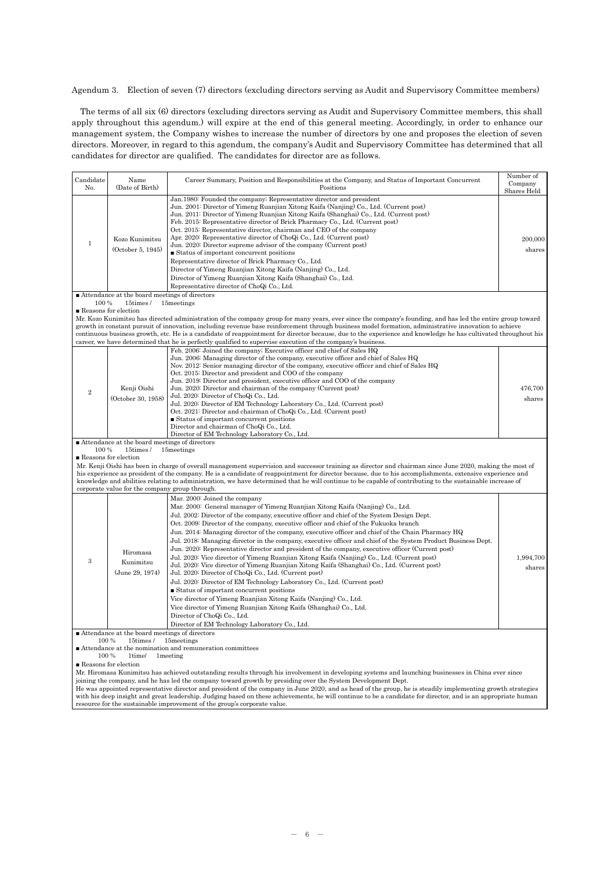Agendum 3. Election of seven (7) directors (excluding directors serving as Audit and Supervisory Committee members)

The terms of all six (6) directors (excluding directors serving as Audit and Supervisory Committee members, this shall apply throughout this agendum.) will expire at the end of this general meeting. Accordingly, in order to enhance our management system, the Company wishes to increase the number of directors by one and proposes the election of seven directors. Moreover, in regard to this agendum, the company's Audit and Supervisory Committee has determined that all candidates for director are qualified. The candidates for director are as follows.

| Candidate<br>No. | Name<br>(Date of Birth)                                                | Career Summary, Position and Responsibilities at the Company, and Status of Important Concurrent<br>Positions                                                                                                                                                                                                                                                                                                                                                                                                                                                                                                                                                                                                                                                                                                                                                                                                                                                                                                                                                                                                                                                                                                               | Number of<br>Company<br>Shares Held |
|------------------|------------------------------------------------------------------------|-----------------------------------------------------------------------------------------------------------------------------------------------------------------------------------------------------------------------------------------------------------------------------------------------------------------------------------------------------------------------------------------------------------------------------------------------------------------------------------------------------------------------------------------------------------------------------------------------------------------------------------------------------------------------------------------------------------------------------------------------------------------------------------------------------------------------------------------------------------------------------------------------------------------------------------------------------------------------------------------------------------------------------------------------------------------------------------------------------------------------------------------------------------------------------------------------------------------------------|-------------------------------------|
| 1                | Kozo Kunimitsu<br>(October 5, 1945)                                    | Jan. 1980: Founded the company; Representative director and president<br>Jun. 2001: Director of Yimeng Ruanjian Xitong Kaifa (Nanjing) Co., Ltd. (Current post)<br>Jun. 2011: Director of Yimeng Ruanjian Xitong Kaifa (Shanghai) Co., Ltd. (Current post)<br>Feb. 2015: Representative director of Brick Pharmacy Co., Ltd. (Current post)<br>Oct. 2015: Representative director, chairman and CEO of the company<br>Apr. 2020: Representative director of ChoQi Co., Ltd. (Current post)<br>Jun. 2020: Director supreme advisor of the company (Current post)<br>■ Status of important concurrent positions<br>Representative director of Brick Pharmacy Co., Ltd.<br>Director of Yimeng Ruanjian Xitong Kaifa (Nanjing) Co., Ltd.<br>Director of Yimeng Ruanjian Xitong Kaifa (Shanghai) Co., Ltd.<br>Representative director of ChoQi Co., Ltd.                                                                                                                                                                                                                                                                                                                                                                         | 200,000<br>shares                   |
|                  | ■ Attendance at the board meetings of directors                        |                                                                                                                                                                                                                                                                                                                                                                                                                                                                                                                                                                                                                                                                                                                                                                                                                                                                                                                                                                                                                                                                                                                                                                                                                             |                                     |
| 100 %            | 15times/<br>Reasons for election                                       | 15 meetings                                                                                                                                                                                                                                                                                                                                                                                                                                                                                                                                                                                                                                                                                                                                                                                                                                                                                                                                                                                                                                                                                                                                                                                                                 |                                     |
|                  |                                                                        | Mr. Kozo Kunimitsu has directed administration of the company group for many years, ever since the company's founding, and has led the entire group toward<br>growth in constant pursuit of innovation, including revenue base reinforcement through business model formation, administrative innovation to achieve<br>continuous business growth, etc. He is a candidate of reappointment for director because, due to the experience and knowledge he has cultivated throughout his<br>career, we have determined that he is perfectly qualified to supervise execution of the company's business.                                                                                                                                                                                                                                                                                                                                                                                                                                                                                                                                                                                                                        |                                     |
|                  |                                                                        | Feb. 2006: Joined the company; Executive officer and chief of Sales HQ                                                                                                                                                                                                                                                                                                                                                                                                                                                                                                                                                                                                                                                                                                                                                                                                                                                                                                                                                                                                                                                                                                                                                      |                                     |
| $\mathbf{2}$     | Kenji Oishi<br>(October 30, 1958)                                      | Jun. 2006: Managing director of the company, executive officer and chief of Sales HQ<br>Nov. 2012: Senior managing director of the company, executive officer and chief of Sales HQ<br>Oct. 2015: Director and president and COO of the company<br>Jun. 2019: Director and president, executive officer and COO of the company<br>Jun. 2020: Director and chairman of the company (Current post)<br>Jul. 2020: Director of ChoQi Co., Ltd.<br>Jul. 2020: Director of EM Technology Laboratory Co., Ltd. (Current post)<br>Oct. 2021: Director and chairman of ChoQi Co., Ltd. (Current post)<br>■ Status of important concurrent positions<br>Director and chairman of ChoQi Co., Ltd.<br>Director of EM Technology Laboratory Co., Ltd.                                                                                                                                                                                                                                                                                                                                                                                                                                                                                    | 476,700<br>shares                   |
|                  | ■ Attendance at the board meetings of directors                        |                                                                                                                                                                                                                                                                                                                                                                                                                                                                                                                                                                                                                                                                                                                                                                                                                                                                                                                                                                                                                                                                                                                                                                                                                             |                                     |
| 100 %            | 15times/                                                               | 15 <sub>meetings</sub>                                                                                                                                                                                                                                                                                                                                                                                                                                                                                                                                                                                                                                                                                                                                                                                                                                                                                                                                                                                                                                                                                                                                                                                                      |                                     |
|                  | Reasons for election<br>corporate value for the company group through. | Mr. Kenji Oishi has been in charge of overall management supervision and successor training as director and chairman since June 2020, making the most of<br>his experience as president of the company. He is a candidate of reappointment for director because, due to his accomplishments, extensive experience and<br>knowledge and abilities relating to administration, we have determined that he will continue to be capable of contributing to the sustainable increase of                                                                                                                                                                                                                                                                                                                                                                                                                                                                                                                                                                                                                                                                                                                                          |                                     |
|                  |                                                                        | Mar. 2000: Joined the company                                                                                                                                                                                                                                                                                                                                                                                                                                                                                                                                                                                                                                                                                                                                                                                                                                                                                                                                                                                                                                                                                                                                                                                               |                                     |
| 3                | Hiromasa<br>Kunimitsu<br>(June 29, 1974)                               | Mar. 2000: General manager of Yimeng Ruanjian Xitong Kaifa (Nanjing) Co., Ltd.<br>Jul. 2002: Director of the company, executive officer and chief of the System Design Dept.<br>Oct. 2009: Director of the company, executive officer and chief of the Fukuoka branch<br>Jun. 2014: Managing director of the company, executive officer and chief of the Chain Pharmacy HQ<br>Jul. 2018: Managing director in the company, executive officer and chief of the System Product Business Dept.<br>Jun. 2020: Representative director and president of the company, executive officer (Current post)<br>Jul. 2020: Vice director of Yimeng Ruanjian Xitong Kaifa (Nanjing) Co., Ltd. (Current post)<br>Jul. 2020: Vice director of Yimeng Ruanjian Xitong Kaifa (Shanghai) Co., Ltd. (Current post)<br>Jul. 2020: Director of ChoQi Co., Ltd. (Current post)<br>Jul. 2020: Director of EM Technology Laboratory Co., Ltd. (Current post)<br>$\blacksquare$ Status of important concurrent positions<br>Vice director of Yimeng Ruanjian Xitong Kaifa (Nanjing) Co., Ltd.<br>Vice director of Yimeng Ruanjian Xitong Kaifa (Shanghai) Co., Ltd.<br>Director of ChoQi Co., Ltd.<br>Director of EM Technology Laboratory Co., Ltd. | 1,994,700<br>shares                 |
|                  | ■ Attendance at the board meetings of directors                        |                                                                                                                                                                                                                                                                                                                                                                                                                                                                                                                                                                                                                                                                                                                                                                                                                                                                                                                                                                                                                                                                                                                                                                                                                             |                                     |
| 100 %<br>100 %   | 15times/<br>1time/<br>$\blacksquare$ Reasons for election              | 15meetings<br>■ Attendance at the nomination and remuneration committees<br>1 meeting<br>Mr. Hiromasa Kunimitsu has achieved outstanding results through his involvement in developing systems and launching businesses in China ever since                                                                                                                                                                                                                                                                                                                                                                                                                                                                                                                                                                                                                                                                                                                                                                                                                                                                                                                                                                                 |                                     |
|                  |                                                                        | joining the company, and he has led the company toward growth by presiding over the System Development Dept.                                                                                                                                                                                                                                                                                                                                                                                                                                                                                                                                                                                                                                                                                                                                                                                                                                                                                                                                                                                                                                                                                                                |                                     |
|                  |                                                                        | He was appointed representative director and president of the company in June 2020, and as head of the group, he is steadily implementing growth strategies<br>with his deep insight and great leadership. Judging based on these achievements, he will continue to be a candidate for director, and is an appropriate human<br>resource for the sustainable improvement of the group's corporate value.                                                                                                                                                                                                                                                                                                                                                                                                                                                                                                                                                                                                                                                                                                                                                                                                                    |                                     |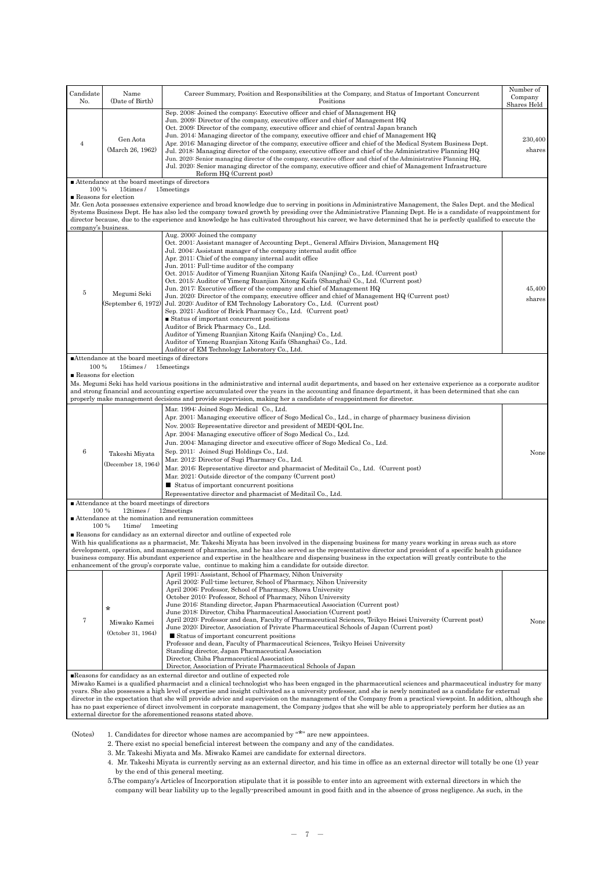| Candidate<br>No.                                                                                                                                                                                                                                                                                                                                                                                                                                                                                                   | Name<br>(Date of Birth)                                                                                                                                                                                                                                                                                                                                                                                                                                                                                                                                                                                                                                        | Career Summary, Position and Responsibilities at the Company, and Status of Important Concurrent<br>Positions                                                                                                                                                                                                                                                                                                                                                                                                                                                                                                                                                                                                                                                                                                                                                                                                                                                                                                                                                                                         | Number of<br>Company<br>Shares Held |  |  |  |  |  |  |  |  |
|--------------------------------------------------------------------------------------------------------------------------------------------------------------------------------------------------------------------------------------------------------------------------------------------------------------------------------------------------------------------------------------------------------------------------------------------------------------------------------------------------------------------|----------------------------------------------------------------------------------------------------------------------------------------------------------------------------------------------------------------------------------------------------------------------------------------------------------------------------------------------------------------------------------------------------------------------------------------------------------------------------------------------------------------------------------------------------------------------------------------------------------------------------------------------------------------|-------------------------------------------------------------------------------------------------------------------------------------------------------------------------------------------------------------------------------------------------------------------------------------------------------------------------------------------------------------------------------------------------------------------------------------------------------------------------------------------------------------------------------------------------------------------------------------------------------------------------------------------------------------------------------------------------------------------------------------------------------------------------------------------------------------------------------------------------------------------------------------------------------------------------------------------------------------------------------------------------------------------------------------------------------------------------------------------------------|-------------------------------------|--|--|--|--|--|--|--|--|
| 4                                                                                                                                                                                                                                                                                                                                                                                                                                                                                                                  | Gen Aota<br>(March 26, 1962)                                                                                                                                                                                                                                                                                                                                                                                                                                                                                                                                                                                                                                   | Sep. 2008: Joined the company; Executive officer and chief of Management HQ<br>Jun. 2009: Director of the company, executive officer and chief of Management HQ<br>Oct. 2009: Director of the company, executive officer and chief of central Japan branch<br>Jun. 2014: Managing director of the company, executive officer and chief of Management HQ<br>Apr. 2016: Managing director of the company, executive officer and chief of the Medical System Business Dept.<br>Jul. 2018: Managing director of the company, executive officer and chief of the Administrative Planning HQ<br>Jun. 2020: Senior managing director of the company, executive officer and chief of the Administrative Planning HQ,<br>Jul. 2020: Senior managing director of the company, executive officer and chief of Management Infrastructure<br>Reform HQ (Current post)                                                                                                                                                                                                                                              |                                     |  |  |  |  |  |  |  |  |
|                                                                                                                                                                                                                                                                                                                                                                                                                                                                                                                    | ■ Attendance at the board meetings of directors<br>100 %                                                                                                                                                                                                                                                                                                                                                                                                                                                                                                                                                                                                       |                                                                                                                                                                                                                                                                                                                                                                                                                                                                                                                                                                                                                                                                                                                                                                                                                                                                                                                                                                                                                                                                                                       |                                     |  |  |  |  |  |  |  |  |
| 15times/<br>15 meetings<br>Reasons for election                                                                                                                                                                                                                                                                                                                                                                                                                                                                    |                                                                                                                                                                                                                                                                                                                                                                                                                                                                                                                                                                                                                                                                |                                                                                                                                                                                                                                                                                                                                                                                                                                                                                                                                                                                                                                                                                                                                                                                                                                                                                                                                                                                                                                                                                                       |                                     |  |  |  |  |  |  |  |  |
| Mr. Gen Aota possesses extensive experience and broad knowledge due to serving in positions in Administrative Management, the Sales Dept. and the Medical<br>Systems Business Dept. He has also led the company toward growth by presiding over the Administrative Planning Dept. He is a candidate of reappointment for<br>director because, due to the experience and knowledge he has cultivated throughout his career, we have determined that he is perfectly qualified to execute the<br>company's business. |                                                                                                                                                                                                                                                                                                                                                                                                                                                                                                                                                                                                                                                                |                                                                                                                                                                                                                                                                                                                                                                                                                                                                                                                                                                                                                                                                                                                                                                                                                                                                                                                                                                                                                                                                                                       |                                     |  |  |  |  |  |  |  |  |
| $\overline{5}$                                                                                                                                                                                                                                                                                                                                                                                                                                                                                                     | Megumi Seki<br>(September 6, 1972)<br>■Attendance at the board meetings of directors                                                                                                                                                                                                                                                                                                                                                                                                                                                                                                                                                                           | Aug. 2000: Joined the company<br>Oct. 2001: Assistant manager of Accounting Dept., General Affairs Division, Management HQ<br>Jul. 2004: Assistant manager of the company internal audit office<br>Apr. 2011: Chief of the company internal audit office<br>Jun. 2011: Full-time auditor of the company<br>Oct. 2015: Auditor of Yimeng Ruanjian Xitong Kaifa (Nanjing) Co., Ltd. (Current post)<br>Oct. 2015: Auditor of Yimeng Ruanjian Xitong Kaifa (Shanghai) Co., Ltd. (Current post)<br>Jun. 2017: Executive officer of the company and chief of Management HQ<br>Jun. 2020: Director of the company, executive officer and chief of Management HQ (Current post)<br>Jul. 2020: Auditor of EM Technology Laboratory Co., Ltd. (Current post)<br>Sep. 2021: Auditor of Brick Pharmacy Co., Ltd. (Current post)<br>$\blacksquare$ Status of important concurrent positions<br>Auditor of Brick Pharmacy Co., Ltd.<br>Auditor of Yimeng Ruanjian Xitong Kaifa (Nanjing) Co., Ltd.<br>Auditor of Yimeng Ruanjian Xitong Kaifa (Shanghai) Co., Ltd.<br>Auditor of EM Technology Laboratory Co., Ltd. | 45,400<br>shares                    |  |  |  |  |  |  |  |  |
| 100 %                                                                                                                                                                                                                                                                                                                                                                                                                                                                                                              | 15times/                                                                                                                                                                                                                                                                                                                                                                                                                                                                                                                                                                                                                                                       | 15 meetings                                                                                                                                                                                                                                                                                                                                                                                                                                                                                                                                                                                                                                                                                                                                                                                                                                                                                                                                                                                                                                                                                           |                                     |  |  |  |  |  |  |  |  |
| Reasons for election                                                                                                                                                                                                                                                                                                                                                                                                                                                                                               |                                                                                                                                                                                                                                                                                                                                                                                                                                                                                                                                                                                                                                                                | Ms. Megumi Seki has held various positions in the administrative and internal audit departments, and based on her extensive experience as a corporate auditor                                                                                                                                                                                                                                                                                                                                                                                                                                                                                                                                                                                                                                                                                                                                                                                                                                                                                                                                         |                                     |  |  |  |  |  |  |  |  |
|                                                                                                                                                                                                                                                                                                                                                                                                                                                                                                                    |                                                                                                                                                                                                                                                                                                                                                                                                                                                                                                                                                                                                                                                                | and strong financial and accounting expertise accumulated over the years in the accounting and finance department, it has been determined that she can                                                                                                                                                                                                                                                                                                                                                                                                                                                                                                                                                                                                                                                                                                                                                                                                                                                                                                                                                |                                     |  |  |  |  |  |  |  |  |
|                                                                                                                                                                                                                                                                                                                                                                                                                                                                                                                    |                                                                                                                                                                                                                                                                                                                                                                                                                                                                                                                                                                                                                                                                | properly make management decisions and provide supervision, making her a candidate of reappointment for director.<br>Mar. 1994: Joined Sogo Medical Co., Ltd.                                                                                                                                                                                                                                                                                                                                                                                                                                                                                                                                                                                                                                                                                                                                                                                                                                                                                                                                         |                                     |  |  |  |  |  |  |  |  |
| 6                                                                                                                                                                                                                                                                                                                                                                                                                                                                                                                  | Takeshi Miyata<br>(December 18, 1964)                                                                                                                                                                                                                                                                                                                                                                                                                                                                                                                                                                                                                          | Apr. 2001: Managing executive officer of Sogo Medical Co., Ltd., in charge of pharmacy business division<br>Nov. 2003: Representative director and president of MEDI-QOL Inc.<br>Apr. 2004: Managing executive officer of Sogo Medical Co., Ltd.<br>Jun. 2004: Managing director and executive officer of Sogo Medical Co., Ltd.<br>Sep. 2011: Joined Sugi Holdings Co., Ltd.<br>Mar. 2012: Director of Sugi Pharmacy Co., Ltd.<br>Mar. 2016: Representative director and pharmacist of Meditail Co., Ltd. (Current post)<br>Mar. 2021: Outside director of the company (Current post)<br>■ Status of important concurrent positions<br>Representative director and pharmacist of Meditail Co., Ltd.                                                                                                                                                                                                                                                                                                                                                                                                  | None                                |  |  |  |  |  |  |  |  |
|                                                                                                                                                                                                                                                                                                                                                                                                                                                                                                                    | ■ Attendance at the board meetings of directors                                                                                                                                                                                                                                                                                                                                                                                                                                                                                                                                                                                                                |                                                                                                                                                                                                                                                                                                                                                                                                                                                                                                                                                                                                                                                                                                                                                                                                                                                                                                                                                                                                                                                                                                       |                                     |  |  |  |  |  |  |  |  |
| 100 %                                                                                                                                                                                                                                                                                                                                                                                                                                                                                                              | 12times / 12meetings                                                                                                                                                                                                                                                                                                                                                                                                                                                                                                                                                                                                                                           | Attendance at the nomination and remuneration committees                                                                                                                                                                                                                                                                                                                                                                                                                                                                                                                                                                                                                                                                                                                                                                                                                                                                                                                                                                                                                                              |                                     |  |  |  |  |  |  |  |  |
| 100 %                                                                                                                                                                                                                                                                                                                                                                                                                                                                                                              | 1time/                                                                                                                                                                                                                                                                                                                                                                                                                                                                                                                                                                                                                                                         | lmeeting                                                                                                                                                                                                                                                                                                                                                                                                                                                                                                                                                                                                                                                                                                                                                                                                                                                                                                                                                                                                                                                                                              |                                     |  |  |  |  |  |  |  |  |
|                                                                                                                                                                                                                                                                                                                                                                                                                                                                                                                    | Reasons for candidacy as an external director and outline of expected role<br>With his qualifications as a pharmacist, Mr. Takeshi Miyata has been involved in the dispensing business for many years working in areas such as store<br>development, operation, and management of pharmacies, and he has also served as the representative director and president of a specific health guidance<br>business company. His abundant experience and expertise in the healthcare and dispensing business in the expectation will greatly contribute to the<br>enhancement of the group's corporate value, continue to making him a candidate for outside director. |                                                                                                                                                                                                                                                                                                                                                                                                                                                                                                                                                                                                                                                                                                                                                                                                                                                                                                                                                                                                                                                                                                       |                                     |  |  |  |  |  |  |  |  |
| 7                                                                                                                                                                                                                                                                                                                                                                                                                                                                                                                  | $\ast$<br>Miwako Kamei<br>(October 31, 1964)                                                                                                                                                                                                                                                                                                                                                                                                                                                                                                                                                                                                                   | April 1991: Assistant, School of Pharmacy, Nihon University<br>April 2002: Full-time lecturer, School of Pharmacy, Nihon University<br>April 2006: Professor, School of Pharmacy, Showa University<br>October 2010: Professor, School of Pharmacy, Nihon University<br>June 2016: Standing director, Japan Pharmaceutical Association (Current post)<br>June 2018: Director, Chiba Pharmaceutical Association (Current post)<br>April 2020: Professor and dean, Faculty of Pharmaceutical Sciences, Teikyo Heisei University (Current post)<br>June 2020: Director, Association of Private Pharmaceutical Schools of Japan (Current post)<br>■ Status of important concurrent positions<br>Professor and dean, Faculty of Pharmaceutical Sciences, Teikyo Heisei University<br>Standing director, Japan Pharmaceutical Association<br>Director, Chiba Pharmaceutical Association<br>Director, Association of Private Pharmaceutical Schools of Japan<br>Reasons for candidacy as an external director and outline of expected role                                                                    | None                                |  |  |  |  |  |  |  |  |
| Miwako Kamei is a qualified pharmacist and a clinical technologist who has been engaged in the pharmaceutical sciences and pharmaceutical industry for many<br>years. She also possesses a high level of expertise and insight cultivated as a university professor, and she is newly nominated as a candidate for external<br>director in the expectation that she will provide advice and supervision on the management of the Company from a practical viewpoint. In addition, although she                     |                                                                                                                                                                                                                                                                                                                                                                                                                                                                                                                                                                                                                                                                |                                                                                                                                                                                                                                                                                                                                                                                                                                                                                                                                                                                                                                                                                                                                                                                                                                                                                                                                                                                                                                                                                                       |                                     |  |  |  |  |  |  |  |  |
| has no past experience of direct involvement in corporate management, the Company judges that she will be able to appropriately perform her duties as an<br>external director for the aforementioned reasons stated above.                                                                                                                                                                                                                                                                                         |                                                                                                                                                                                                                                                                                                                                                                                                                                                                                                                                                                                                                                                                |                                                                                                                                                                                                                                                                                                                                                                                                                                                                                                                                                                                                                                                                                                                                                                                                                                                                                                                                                                                                                                                                                                       |                                     |  |  |  |  |  |  |  |  |
|                                                                                                                                                                                                                                                                                                                                                                                                                                                                                                                    |                                                                                                                                                                                                                                                                                                                                                                                                                                                                                                                                                                                                                                                                |                                                                                                                                                                                                                                                                                                                                                                                                                                                                                                                                                                                                                                                                                                                                                                                                                                                                                                                                                                                                                                                                                                       |                                     |  |  |  |  |  |  |  |  |

(Notes) 1. Candidates for director whose names are accompanied by "\*" are new appointees.

2. There exist no special beneficial interest between the company and any of the candidates.

3. Mr. Takeshi Miyata and Ms. Miwako Kamei are candidate for external directors.

4. Mr. Takeshi Miyata is currently serving as an external director, and his time in office as an external director will totally be one (1) year by the end of this general meeting.

5.The company's Articles of Incorporation stipulate that it is possible to enter into an agreement with external directors in which the company will bear liability up to the legally-prescribed amount in good faith and in the absence of gross negligence. As such, in the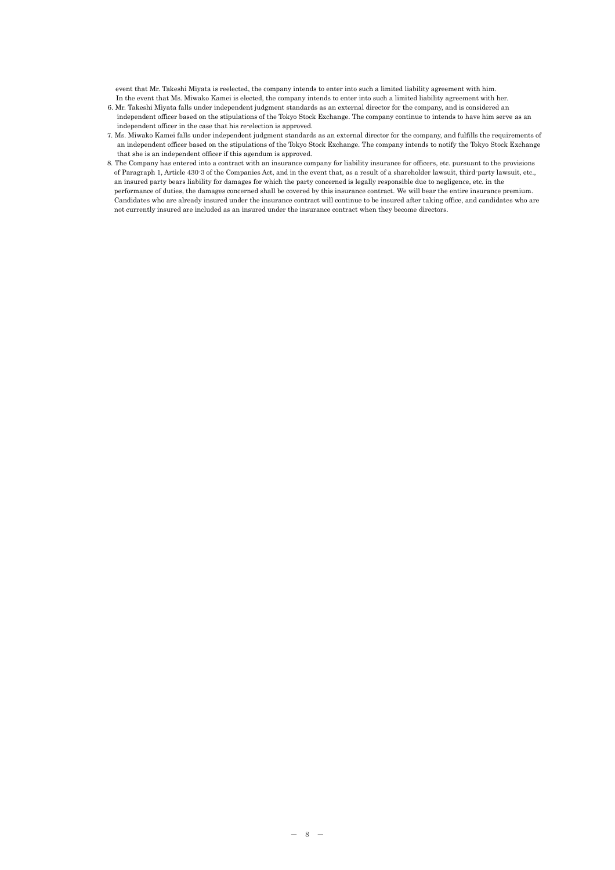event that Mr. Takeshi Miyata is reelected, the company intends to enter into such a limited liability agreement with him. In the event that Ms. Miwako Kamei is elected, the company intends to enter into such a limited liability agreement with her.

- 6. Mr. Takeshi Miyata falls under independent judgment standards as an external director for the company, and is considered an independent officer based on the stipulations of the Tokyo Stock Exchange. The company continue to intends to have him serve as an independent officer in the case that his re-election is approved.
- 7. Ms. Miwako Kamei falls under independent judgment standards as an external director for the company, and fulfills the requirements of an independent officer based on the stipulations of the Tokyo Stock Exchange. The company intends to notify the Tokyo Stock Exchange that she is an independent officer if this agendum is approved.
- 8. The Company has entered into a contract with an insurance company for liability insurance for officers, etc. pursuant to the provisions of Paragraph 1, Article 430-3 of the Companies Act, and in the event that, as a result of a shareholder lawsuit, third-party lawsuit, etc., an insured party bears liability for damages for which the party concerned is legally responsible due to negligence, etc. in the performance of duties, the damages concerned shall be covered by this insurance contract. We will bear the entire insurance premium. Candidates who are already insured under the insurance contract will continue to be insured after taking office, and candidates who are not currently insured are included as an insured under the insurance contract when they become directors.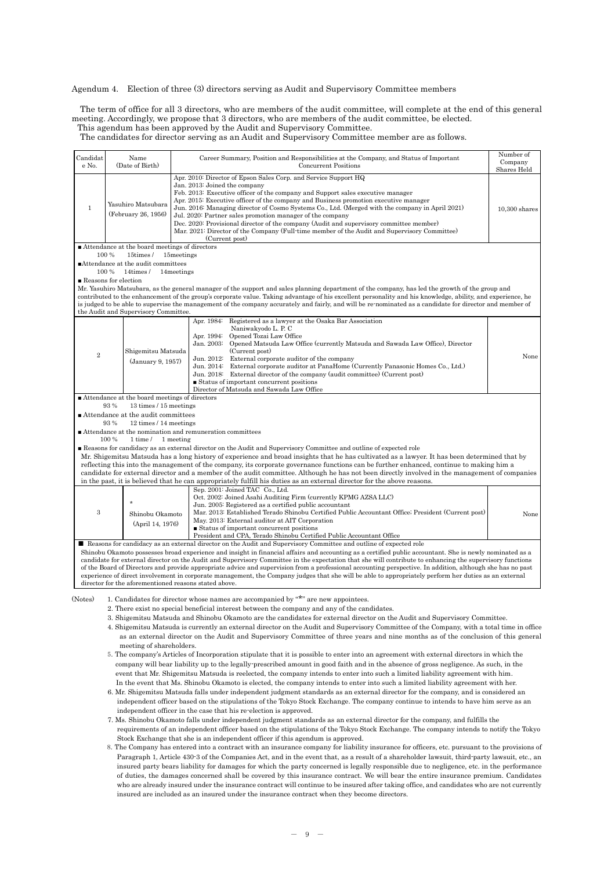#### Agendum 4. Election of three (3) directors serving as Audit and Supervisory Committee members

The term of office for all 3 directors, who are members of the audit committee, will complete at the end of this general meeting. Accordingly, we propose that 3 directors, who are members of the audit committee, be elected.

This agendum has been approved by the Audit and Supervisory Committee.

The candidates for director serving as an Audit and Supervisory Committee member are as follows.

| Candidat<br>e No.                               | Name<br>(Date of Birth)                       | Career Summary, Position and Responsibilities at the Company, and Status of Important<br><b>Concurrent Positions</b>                                                                                                                                                                                                                                                                                                                                                                                                                                                                                                                                                                                  |                                |  |  |  |  |  |  |
|-------------------------------------------------|-----------------------------------------------|-------------------------------------------------------------------------------------------------------------------------------------------------------------------------------------------------------------------------------------------------------------------------------------------------------------------------------------------------------------------------------------------------------------------------------------------------------------------------------------------------------------------------------------------------------------------------------------------------------------------------------------------------------------------------------------------------------|--------------------------------|--|--|--|--|--|--|
| 1                                               | Yasuhiro Matsubara<br>(February 26, 1956)     | Apr. 2010: Director of Epson Sales Corp. and Service Support HQ<br>Jan. 2013: Joined the company<br>Feb. 2013: Executive officer of the company and Support sales executive manager<br>Apr. 2015: Executive officer of the company and Business promotion executive manager<br>Jun. 2016: Managing director of Cosmo Systems Co., Ltd. (Merged with the company in April 2021)<br>Jul. 2020: Partner sales promotion manager of the company<br>Dec. 2020: Provisional director of the company (Audit and supervisory committee member)<br>Mar. 2021: Director of the Company (Full-time member of the Audit and Supervisory Committee)<br>(Current post)                                              | Shares Held<br>$10,300$ shares |  |  |  |  |  |  |
|                                                 | Attendance at the board meetings of directors |                                                                                                                                                                                                                                                                                                                                                                                                                                                                                                                                                                                                                                                                                                       |                                |  |  |  |  |  |  |
|                                                 | 100 %<br>15times/                             | 15meetings                                                                                                                                                                                                                                                                                                                                                                                                                                                                                                                                                                                                                                                                                            |                                |  |  |  |  |  |  |
|                                                 | ■Attendance at the audit committees           |                                                                                                                                                                                                                                                                                                                                                                                                                                                                                                                                                                                                                                                                                                       |                                |  |  |  |  |  |  |
|                                                 | 100 %<br>14times/<br>Reasons for election     | 14 meetings                                                                                                                                                                                                                                                                                                                                                                                                                                                                                                                                                                                                                                                                                           |                                |  |  |  |  |  |  |
|                                                 |                                               | Mr. Yasuhiro Matsubara, as the general manager of the support and sales planning department of the company, has led the growth of the group and                                                                                                                                                                                                                                                                                                                                                                                                                                                                                                                                                       |                                |  |  |  |  |  |  |
|                                                 |                                               | contributed to the enhancement of the group's corporate value. Taking advantage of his excellent personality and his knowledge, ability, and experience, he                                                                                                                                                                                                                                                                                                                                                                                                                                                                                                                                           |                                |  |  |  |  |  |  |
|                                                 |                                               | is judged to be able to supervise the management of the company accurately and fairly, and will be re-nominated as a candidate for director and member of                                                                                                                                                                                                                                                                                                                                                                                                                                                                                                                                             |                                |  |  |  |  |  |  |
|                                                 | the Audit and Supervisory Committee.          |                                                                                                                                                                                                                                                                                                                                                                                                                                                                                                                                                                                                                                                                                                       |                                |  |  |  |  |  |  |
| $\overline{2}$                                  | Shigemitsu Matsuda<br>(January 9, 1957)       | Apr. 1984: Registered as a lawyer at the Osaka Bar Association<br>Naniwakyodo L. P. C<br>Apr. 1994: Opened Tozai Law Office<br>Jan. 2003:<br>Opened Matsuda Law Office (currently Matsuda and Sawada Law Office), Director<br>(Current post)<br>Jun. 2012: External corporate auditor of the company<br>External corporate auditor at PanaHome (Currently Panasonic Homes Co., Ltd.)<br>Jun. 2014:<br>Jun. 2018: External director of the company (audit committee) (Current post)<br>■ Status of important concurrent positions<br>Director of Matsuda and Sawada Law Office                                                                                                                         | None                           |  |  |  |  |  |  |
| ■ Attendance at the board meetings of directors |                                               |                                                                                                                                                                                                                                                                                                                                                                                                                                                                                                                                                                                                                                                                                                       |                                |  |  |  |  |  |  |
|                                                 | 93%<br>13 times / 15 meetings                 |                                                                                                                                                                                                                                                                                                                                                                                                                                                                                                                                                                                                                                                                                                       |                                |  |  |  |  |  |  |
|                                                 | ■ Attendance at the audit committees          |                                                                                                                                                                                                                                                                                                                                                                                                                                                                                                                                                                                                                                                                                                       |                                |  |  |  |  |  |  |
|                                                 | 93 %<br>12 times / 14 meetings                |                                                                                                                                                                                                                                                                                                                                                                                                                                                                                                                                                                                                                                                                                                       |                                |  |  |  |  |  |  |
|                                                 | 100 %<br>$1 \times l$                         | ■ Attendance at the nomination and remuneration committees<br>1 meeting                                                                                                                                                                                                                                                                                                                                                                                                                                                                                                                                                                                                                               |                                |  |  |  |  |  |  |
|                                                 |                                               | Reasons for candidacy as an external director on the Audit and Supervisory Committee and outline of expected role                                                                                                                                                                                                                                                                                                                                                                                                                                                                                                                                                                                     |                                |  |  |  |  |  |  |
|                                                 |                                               | Mr. Shigemitsu Matsuda has a long history of experience and broad insights that he has cultivated as a lawyer. It has been determined that by                                                                                                                                                                                                                                                                                                                                                                                                                                                                                                                                                         |                                |  |  |  |  |  |  |
|                                                 |                                               | reflecting this into the management of the company, its corporate governance functions can be further enhanced, continue to making him a                                                                                                                                                                                                                                                                                                                                                                                                                                                                                                                                                              |                                |  |  |  |  |  |  |
|                                                 |                                               | candidate for external director and a member of the audit committee. Although he has not been directly involved in the management of companies                                                                                                                                                                                                                                                                                                                                                                                                                                                                                                                                                        |                                |  |  |  |  |  |  |
|                                                 |                                               | in the past, it is believed that he can appropriately fulfill his duties as an external director for the above reasons.                                                                                                                                                                                                                                                                                                                                                                                                                                                                                                                                                                               |                                |  |  |  |  |  |  |
| 3                                               | $\ast$<br>Shinobu Okamoto<br>(April 14, 1976) | Sep. 2001: Joined TAC Co., Ltd.<br>Oct. 2002: Joined Asahi Auditing Firm (currently KPMG AZSA LLC)<br>Jun. 2005: Registered as a certified public accountant<br>Mar. 2013: Established Terado Shinobu Certified Public Accountant Office; President (Current post)<br>May. 2013: External auditor at AIT Corporation<br>■ Status of important concurrent positions<br>President and CPA, Terado Shinobu Certified Public Accountant Office                                                                                                                                                                                                                                                            | None                           |  |  |  |  |  |  |
|                                                 |                                               | Reasons for candidacy as an external director on the Audit and Supervisory Committee and outline of expected role                                                                                                                                                                                                                                                                                                                                                                                                                                                                                                                                                                                     |                                |  |  |  |  |  |  |
|                                                 |                                               | Shinobu Okamoto possesses broad experience and insight in financial affairs and accounting as a certified public accountant. She is newly nominated as a<br>candidate for external director on the Audit and Supervisory Committee in the expectation that she will contribute to enhancing the supervisory functions<br>of the Board of Directors and provide appropriate advice and supervision from a professional accounting perspective. In addition, although she has no past<br>experience of direct involvement in corporate management, the Company judges that she will be able to appropriately perform her duties as an external<br>director for the aforementioned reasons stated above. |                                |  |  |  |  |  |  |
| (Notes)                                         |                                               | 1. Candidates for director whose names are accompanied by "*" are new appointees.<br>2. There exist no special beneficial interest between the company and any of the candidates.                                                                                                                                                                                                                                                                                                                                                                                                                                                                                                                     |                                |  |  |  |  |  |  |

3. Shigemitsu Matsuda and Shinobu Okamoto are the candidates for external director on the Audit and Supervisory Committee.

- 4. Shigemitsu Matsuda is currently an external director on the Audit and Supervisory Committee of the Company, with a total time in office
- as an external director on the Audit and Supervisory Committee of three years and nine months as of the conclusion of this general meeting of shareholders.
- 5. The company's Articles of Incorporation stipulate that it is possible to enter into an agreement with external directors in which the company will bear liability up to the legally-prescribed amount in good faith and in the absence of gross negligence. As such, in the event that Mr. Shigemitsu Matsuda is reelected, the company intends to enter into such a limited liability agreement with him. In the event that Ms. Shinobu Okamoto is elected, the company intends to enter into such a limited liability agreement with her.
- 6. Mr. Shigemitsu Matsuda falls under independent judgment standards as an external director for the company, and is considered an independent officer based on the stipulations of the Tokyo Stock Exchange. The company continue to intends to have him serve as an independent officer in the case that his re-election is approved.
- 7. Ms. Shinobu Okamoto falls under independent judgment standards as an external director for the company, and fulfills the requirements of an independent officer based on the stipulations of the Tokyo Stock Exchange. The company intends to notify the Tokyo Stock Exchange that she is an independent officer if this agendum is approved.
- 8. The Company has entered into a contract with an insurance company for liability insurance for officers, etc. pursuant to the provisions of Paragraph 1, Article 430-3 of the Companies Act, and in the event that, as a result of a shareholder lawsuit, third-party lawsuit, etc., an insured party bears liability for damages for which the party concerned is legally responsible due to negligence, etc. in the performance of duties, the damages concerned shall be covered by this insurance contract. We will bear the entire insurance premium. Candidates who are already insured under the insurance contract will continue to be insured after taking office, and candidates who are not currently insured are included as an insured under the insurance contract when they become directors.